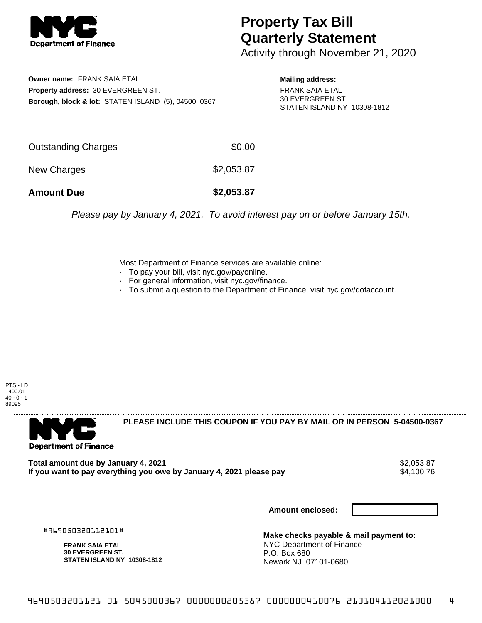

## **Property Tax Bill Quarterly Statement**

Activity through November 21, 2020

**Owner name:** FRANK SAIA ETAL **Property address:** 30 EVERGREEN ST. **Borough, block & lot:** STATEN ISLAND (5), 04500, 0367 **Mailing address:**

FRANK SAIA ETAL 30 EVERGREEN ST. STATEN ISLAND NY 10308-1812

| <b>Amount Due</b>   | \$2,053.87 |
|---------------------|------------|
| New Charges         | \$2,053.87 |
| Outstanding Charges | \$0.00     |

Please pay by January 4, 2021. To avoid interest pay on or before January 15th.

Most Department of Finance services are available online:

- · To pay your bill, visit nyc.gov/payonline.
- For general information, visit nyc.gov/finance.
- · To submit a question to the Department of Finance, visit nyc.gov/dofaccount.

PTS - LD 1400.01  $40 - 0 - 1$ 89095



**PLEASE INCLUDE THIS COUPON IF YOU PAY BY MAIL OR IN PERSON 5-04500-0367** 

**Total amount due by January 4, 2021**<br>If you want to pay everything you owe by January 4, 2021 please pay **strategy of the Superior Automate** \$4,100.76 If you want to pay everything you owe by January 4, 2021 please pay

**Amount enclosed:**

#969050320112101#

**FRANK SAIA ETAL 30 EVERGREEN ST. STATEN ISLAND NY 10308-1812**

**Make checks payable & mail payment to:** NYC Department of Finance P.O. Box 680 Newark NJ 07101-0680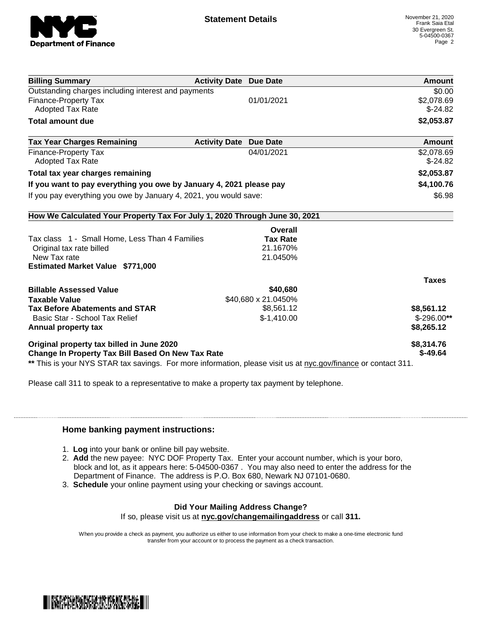

| <b>Billing Summary</b>                                                                                         | <b>Activity Date Due Date</b> | Amount        |
|----------------------------------------------------------------------------------------------------------------|-------------------------------|---------------|
| Outstanding charges including interest and payments                                                            |                               | \$0.00        |
| <b>Finance-Property Tax</b>                                                                                    | 01/01/2021                    | \$2,078.69    |
| <b>Adopted Tax Rate</b>                                                                                        |                               | $$-24.82$     |
| <b>Total amount due</b>                                                                                        |                               | \$2,053.87    |
| <b>Tax Year Charges Remaining</b>                                                                              | <b>Activity Date Due Date</b> | <b>Amount</b> |
| <b>Finance-Property Tax</b>                                                                                    | 04/01/2021                    | \$2,078.69    |
| <b>Adopted Tax Rate</b>                                                                                        |                               | $$-24.82$     |
| Total tax year charges remaining                                                                               |                               | \$2,053.87    |
| If you want to pay everything you owe by January 4, 2021 please pay                                            |                               | \$4,100.76    |
| If you pay everything you owe by January 4, 2021, you would save:                                              |                               | \$6.98        |
| How We Calculated Your Property Tax For July 1, 2020 Through June 30, 2021                                     |                               |               |
|                                                                                                                | Overall                       |               |
| Tax class 1 - Small Home, Less Than 4 Families                                                                 | <b>Tax Rate</b>               |               |
| Original tax rate billed                                                                                       | 21.1670%                      |               |
| New Tax rate                                                                                                   | 21.0450%                      |               |
| <b>Estimated Market Value \$771,000</b>                                                                        |                               |               |
|                                                                                                                |                               | <b>Taxes</b>  |
| <b>Billable Assessed Value</b>                                                                                 | \$40,680                      |               |
| <b>Taxable Value</b>                                                                                           | \$40,680 x 21.0450%           |               |
| <b>Tax Before Abatements and STAR</b>                                                                          | \$8,561.12                    | \$8,561.12    |
| Basic Star - School Tax Relief                                                                                 | $$-1,410.00$                  | $$-296.00**$  |
| Annual property tax                                                                                            |                               | \$8,265.12    |
| Original property tax billed in June 2020                                                                      |                               | \$8,314.76    |
| <b>Change In Property Tax Bill Based On New Tax Rate</b>                                                       |                               | $$-49.64$     |
| ** This is your NYS STAR tax savings. For more information, please visit us at nyc.gov/finance or contact 311. |                               |               |

Please call 311 to speak to a representative to make a property tax payment by telephone.

## **Home banking payment instructions:**

- 1. **Log** into your bank or online bill pay website.
- 2. **Add** the new payee: NYC DOF Property Tax. Enter your account number, which is your boro, block and lot, as it appears here: 5-04500-0367 . You may also need to enter the address for the Department of Finance. The address is P.O. Box 680, Newark NJ 07101-0680.
- 3. **Schedule** your online payment using your checking or savings account.

## **Did Your Mailing Address Change?**

If so, please visit us at **nyc.gov/changemailingaddress** or call **311.**

When you provide a check as payment, you authorize us either to use information from your check to make a one-time electronic fund transfer from your account or to process the payment as a check transaction.